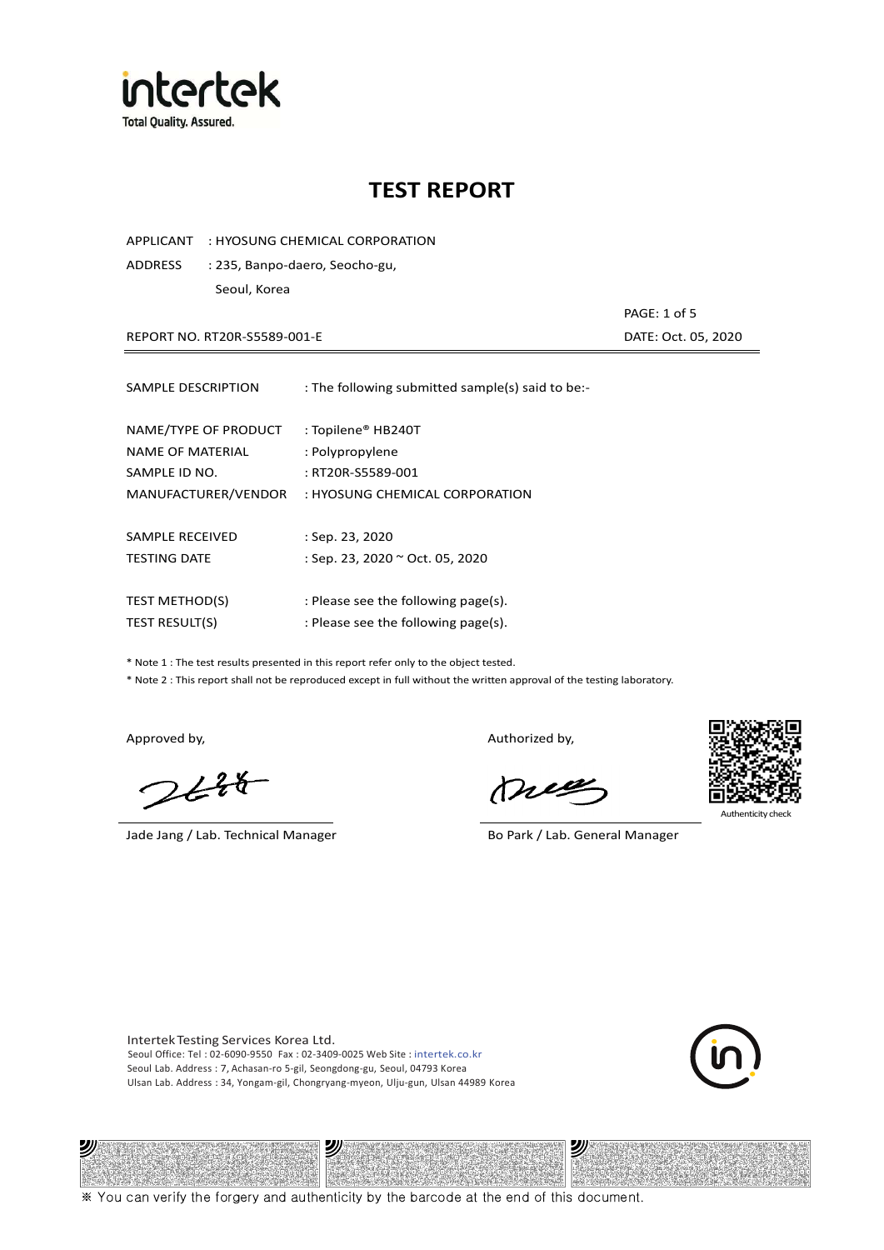

APPLICANT : HYOSUNG CHEMICAL CORPORATION

ADDRESS : 235, Banpo-daero, Seocho-gu, Seoul, Korea

REPORT NO. RT20R-S5589-001-E DATE: Oct. 05, 2020

PAGE: 1 of 5

| SAMPLE DESCRIPTION                       | : The following submitted sample(s) said to be:-    |
|------------------------------------------|-----------------------------------------------------|
| NAME/TYPE OF PRODUCT<br>NAME OF MATERIAL | : Topilene® HB240T<br>: Polypropylene               |
| SAMPLE ID NO.<br>MANUFACTURER/VENDOR     | : RT20R-S5589-001<br>: HYOSUNG CHEMICAL CORPORATION |
| SAMPLE RECEIVED                          | : Sep. 23, 2020                                     |
| <b>TESTING DATE</b>                      | : Sep. 23, 2020 ~ Oct. 05, 2020                     |
|                                          |                                                     |
| <b>TEST METHOD(S)</b>                    | : Please see the following page(s).                 |
| <b>TEST RESULT(S)</b>                    | : Please see the following page(s).                 |

\* Note 1 : The test results presented in this report refer only to the object tested.

\* Note 2 : This report shall not be reproduced except in full without the written approval of the testing laboratory.

ツル

 $2648$ 

Jade Jang / Lab. Technical Manager Bo Park / Lab. General Manager

Approved by, and the control of the control of the Authorized by,

Mie



**Authenticity** 

Intertek Testing Services Korea Ltd. Seoul Office: Tel : 02-6090-9550 Fax : 02-3409-0025 Web Site : intertek.co.kr Seoul Lab. Address : 7, Achasan-ro 5-gil, Seongdong-gu, Seoul, 04793 Korea Ulsan Lab. Address : 34, Yongam-gil, Chongryang-myeon, Ulju-gun, Ulsan 44989 Korea

沙



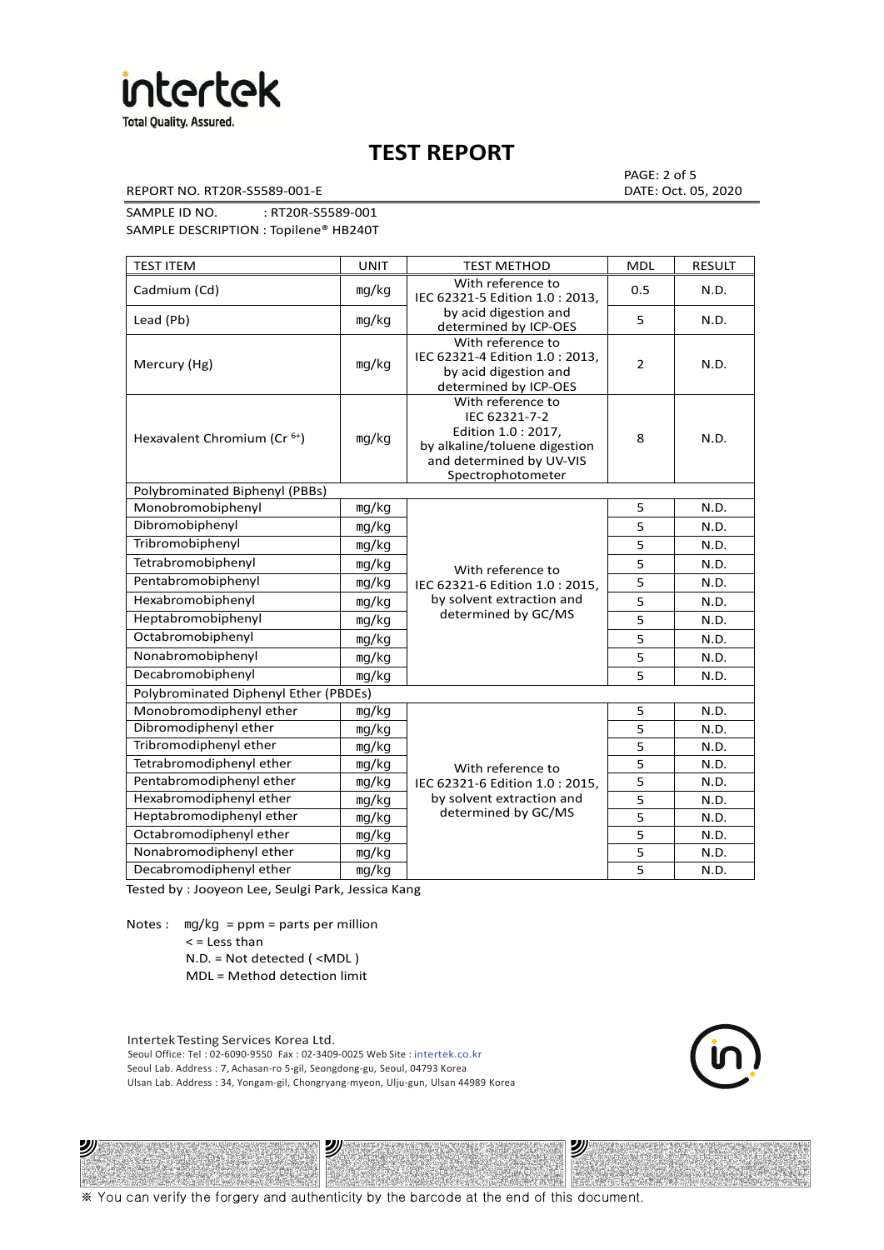

REPORT NO. RT20R-S5589-001-E DATE: Oct. 05, 2020

PAGE: 2 of 5

SAMPLE ID NO. : RT20R-S5589-001 SAMPLE DESCRIPTION : Topilene® HB240T

| <b>TEST ITEM</b>                        | <b>UNIT</b> | <b>TEST METHOD</b>                                                                                                                          | <b>MDL</b>     | <b>RESULT</b> |
|-----------------------------------------|-------------|---------------------------------------------------------------------------------------------------------------------------------------------|----------------|---------------|
| Cadmium (Cd)                            | mg/kg       | With reference to<br>IEC 62321-5 Edition 1.0: 2013.                                                                                         | 0.5            | N.D.          |
| Lead (Pb)                               | mg/kg       | by acid digestion and<br>determined by ICP-OES                                                                                              | 5              | N.D.          |
| Mercury (Hg)                            | mg/kg       | With reference to<br>IEC 62321-4 Edition 1.0 : 2013,<br>by acid digestion and<br>determined by ICP-OES                                      | $\overline{2}$ | N.D.          |
| Hexavalent Chromium (Cr <sup>6+</sup> ) | mg/kg       | With reference to<br>IEC 62321-7-2<br>Edition 1.0 : 2017,<br>by alkaline/toluene digestion<br>and determined by UV-VIS<br>Spectrophotometer | 8              | N.D.          |
| Polybrominated Biphenyl (PBBs)          |             |                                                                                                                                             |                |               |
| Monobromobiphenyl                       | mg/kg       |                                                                                                                                             | 5              | N.D.          |
| Dibromobiphenyl                         | mg/kg       |                                                                                                                                             | 5              | N.D.          |
| Tribromobiphenyl                        | mg/kg       |                                                                                                                                             | 5              | N.D.          |
| Tetrabromobiphenyl                      | mg/kg       | With reference to                                                                                                                           | 5              | N.D.          |
| Pentabromobiphenyl                      | mg/kg       | IEC 62321-6 Edition 1.0: 2015,                                                                                                              | 5              | N.D.          |
| Hexabromobiphenyl                       | mg/kg       | by solvent extraction and                                                                                                                   | 5              | N.D.          |
| Heptabromobiphenyl                      | mg/kg       | determined by GC/MS                                                                                                                         | 5              | N.D.          |
| Octabromobiphenyl                       | mg/kg       |                                                                                                                                             | 5              | N.D.          |
| Nonabromobiphenyl                       | mg/kg       |                                                                                                                                             | 5              | N.D.          |
| Decabromobiphenyl                       | mg/kg       |                                                                                                                                             | 5              | N.D.          |
| Polybrominated Diphenyl Ether (PBDEs)   |             |                                                                                                                                             |                |               |
| Monobromodiphenyl ether                 | mg/kg       |                                                                                                                                             | 5              | N.D.          |
| Dibromodiphenyl ether                   | mg/kg       |                                                                                                                                             | 5              | N.D.          |
| Tribromodiphenyl ether                  | mg/kg       |                                                                                                                                             | 5              | N.D.          |
| Tetrabromodiphenyl ether                | mg/kg       | With reference to                                                                                                                           | 5              | N.D.          |
| Pentabromodiphenyl ether                | mg/kg       | IEC 62321-6 Edition 1.0 : 2015,                                                                                                             | 5              | N.D.          |
| Hexabromodiphenyl ether                 | mg/kg       | by solvent extraction and                                                                                                                   | 5              | N.D.          |
| Heptabromodiphenyl ether                | mg/kg       | determined by GC/MS                                                                                                                         | 5              | N.D.          |
| Octabromodiphenyl ether                 | mg/kg       |                                                                                                                                             | 5              | N.D.          |
| Nonabromodiphenyl ether                 | mg/kg       |                                                                                                                                             | 5              | N.D.          |
| Decabromodiphenyl ether                 | mg/kg       |                                                                                                                                             | 5              | N.D.          |

Tested by : Jooyeon Lee, Seulgi Park, Jessica Kang

Notes : mg/kg = ppm = parts per million  $<$  = Less than

ツル

N.D. = Not detected ( <MDL )

MDL = Method detection limit

Intertek Testing Services Korea Ltd. Seoul Office: Tel : 02-6090-9550 Fax : 02-3409-0025 Web Site : intertek.co.kr Seoul Lab. Address : 7, Achasan-ro 5-gil, Seongdong-gu, Seoul, 04793 Korea Ulsan Lab. Address : 34, Yongam-gil, Chongryang-myeon, Ulju-gun, Ulsan 44989 Korea

2)

沙

※ You can verify the forgery and authenticity by the barcode at the end of this document.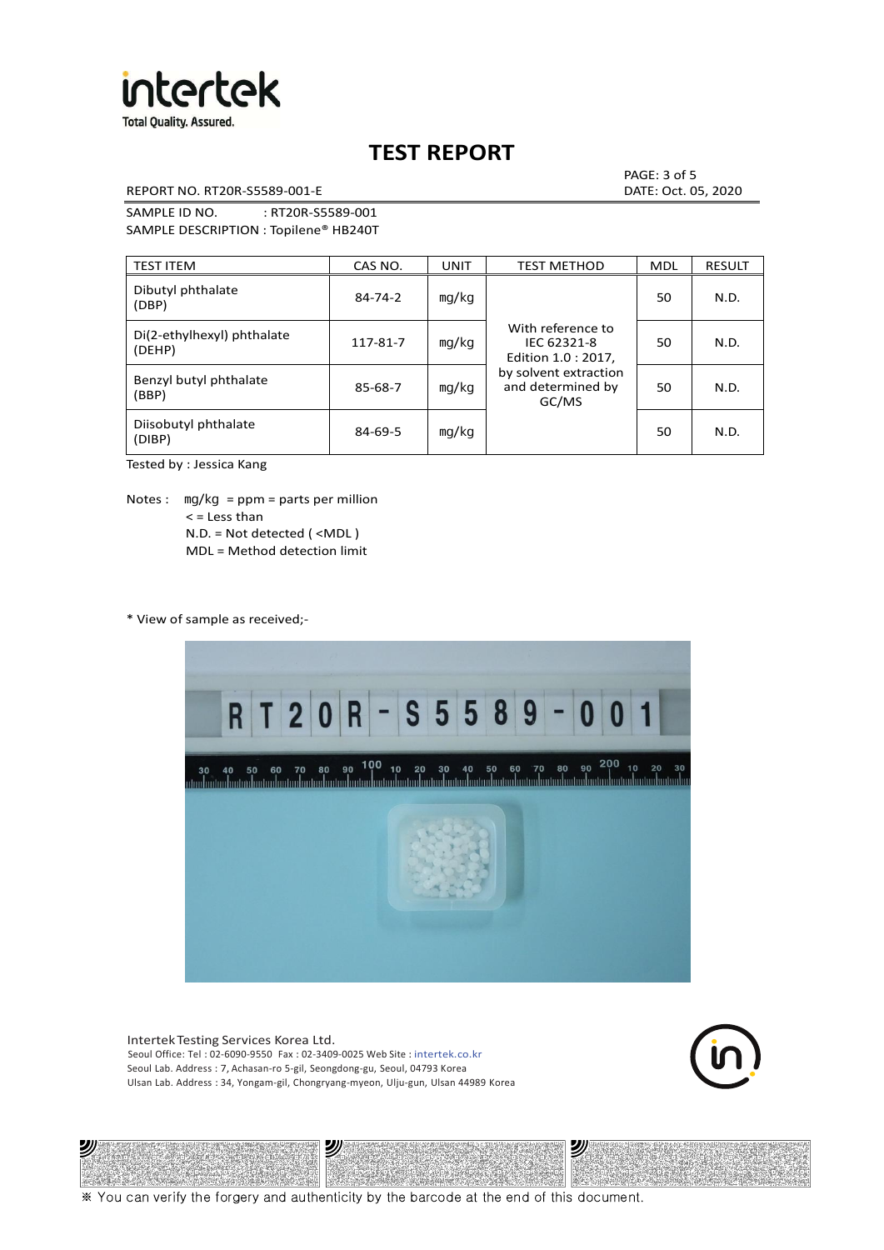

REPORT NO. RT20R-S5589-001-E DATE: Oct. 05, 2020

PAGE: 3 of 5

SAMPLE ID NO. : RT20R-S5589-001 SAMPLE DESCRIPTION : Topilene® HB240T

| <b>TEST ITEM</b>                     | CAS NO.       | <b>UNIT</b> | <b>TEST METHOD</b>                                      | <b>MDL</b> | <b>RESULT</b> |
|--------------------------------------|---------------|-------------|---------------------------------------------------------|------------|---------------|
| Dibutyl phthalate<br>(DBP)           | $84 - 74 - 2$ | mg/kg       | With reference to<br>IEC 62321-8<br>Edition 1.0 : 2017, | 50         | N.D.          |
| Di(2-ethylhexyl) phthalate<br>(DEHP) | 117-81-7      | mg/kg       |                                                         | 50         | N.D.          |
| Benzyl butyl phthalate<br>(BBP)      | 85-68-7       | mg/kg       | by solvent extraction<br>and determined by<br>GC/MS     | 50         | N.D.          |
| Diisobutyl phthalate<br>(DIBP)       | $84 - 69 - 5$ | mg/kg       |                                                         | 50         | N.D.          |

Tested by : Jessica Kang

Notes :  $mq/kg = ppm = parts per million$  $<$  = Less than N.D. = Not detected ( <MDL ) MDL = Method detection limit

\* View of sample as received;-

2)



Intertek Testing Services Korea Ltd. Seoul Office: Tel : 02-6090-9550 Fax : 02-3409-0025 Web Site : intertek.co.kr Seoul Lab. Address : 7, Achasan-ro 5-gil, Seongdong-gu, Seoul, 04793 Korea Ulsan Lab. Address : 34, Yongam-gil, Chongryang-myeon, Ulju-gun, Ulsan 44989 Korea

沙



沙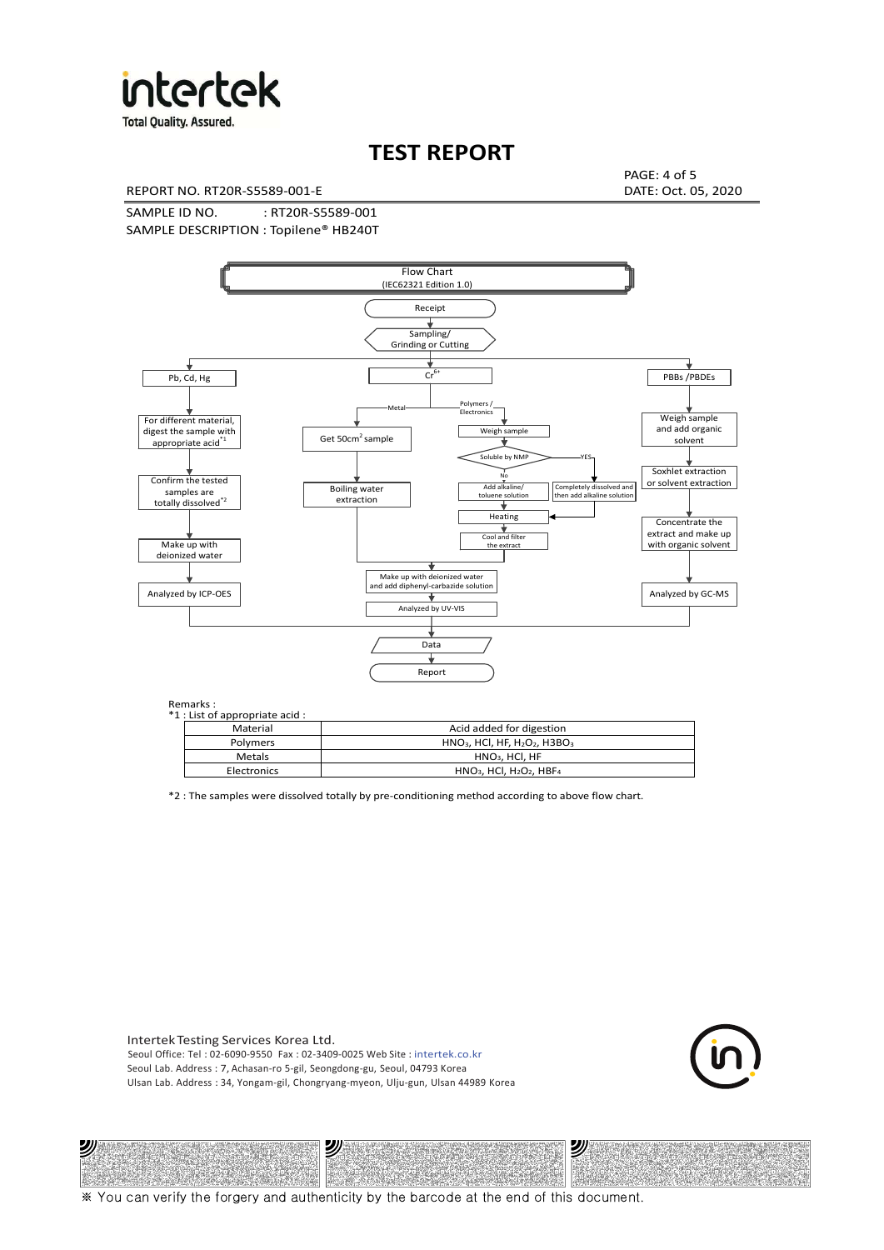

**Total Quality. Assured.** 

## **TEST REPORT**

REPORT NO. RT20R-S5589-001-E DATE: Oct. 05, 2020

PAGE: 4 of 5

SAMPLE ID NO. : RT20R-S5589-001 SAMPLE DESCRIPTION : Topilene® HB240T



| *1 : List of appropriate acid : |                                                                     |
|---------------------------------|---------------------------------------------------------------------|
| Material                        | Acid added for digestion                                            |
| <b>Polymers</b>                 | $HNO3$ , HCl, HF, H <sub>2</sub> O <sub>2</sub> , H3BO <sub>3</sub> |
| Metals                          | $HNO3$ , HCl, HF                                                    |
| Electronics                     | $HNO3$ , HCl, H <sub>2</sub> O <sub>2</sub> , HBF <sub>4</sub>      |

\*2 : The samples were dissolved totally by pre-conditioning method according to above flow chart.

Intertek Testing Services Korea Ltd. Seoul Office: Tel : 02-6090-9550 Fax : 02-3409-0025 Web Site : intertek.co.kr Seoul Lab. Address : 7, Achasan-ro 5-gil, Seongdong-gu, Seoul, 04793 Korea Ulsan Lab. Address : 34, Yongam-gil, Chongryang-myeon, Ulju-gun, Ulsan 44989 Korea

沙

ッパ



沙